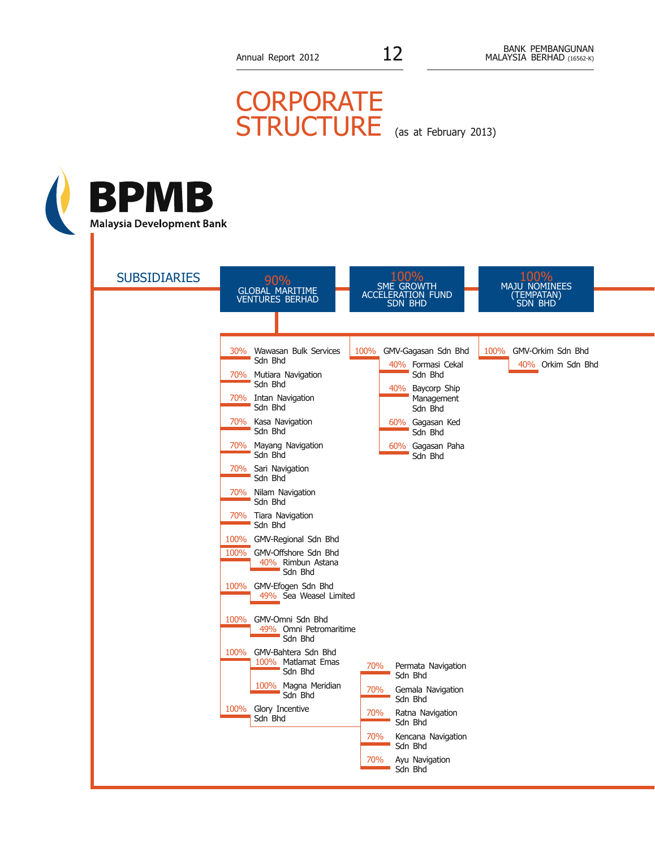## **CORPORATE** STRUCTURE (as at February 2013)